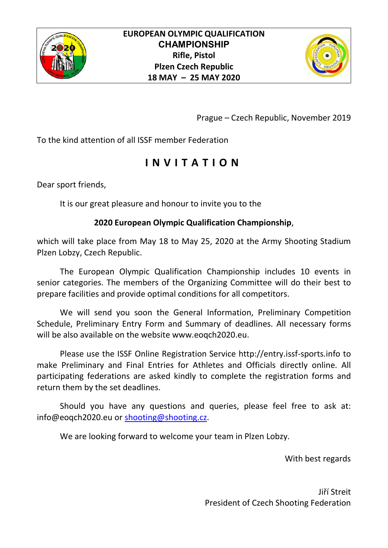



Prague – Czech Republic, November 2019

To the kind attention of all ISSF member Federation

## **I N V I T A T I O N**

Dear sport friends,

It is our great pleasure and honour to invite you to the

## **2020 European Olympic Qualification Championship**,

which will take place from May 18 to May 25, 2020 at the Army Shooting Stadium Plzen Lobzy, Czech Republic.

The European Olympic Qualification Championship includes 10 events in senior categories. The members of the Organizing Committee will do their best to prepare facilities and provide optimal conditions for all competitors.

We will send you soon the General Information, Preliminary Competition Schedule, Preliminary Entry Form and Summary of deadlines. All necessary forms will be also available on the website www.eoqch2020.eu.

Please use the ISSF Online Registration Service http://entry.issf-sports.info to make Preliminary and Final Entries for Athletes and Officials directly online. All participating federations are asked kindly to complete the registration forms and return them by the set deadlines.

Should you have any questions and queries, please feel free to ask at: info@eoqch2020.eu or shooting@shooting.cz.

We are looking forward to welcome your team in Plzen Lobzy.

With best regards

Jiří Streit President of Czech Shooting Federation